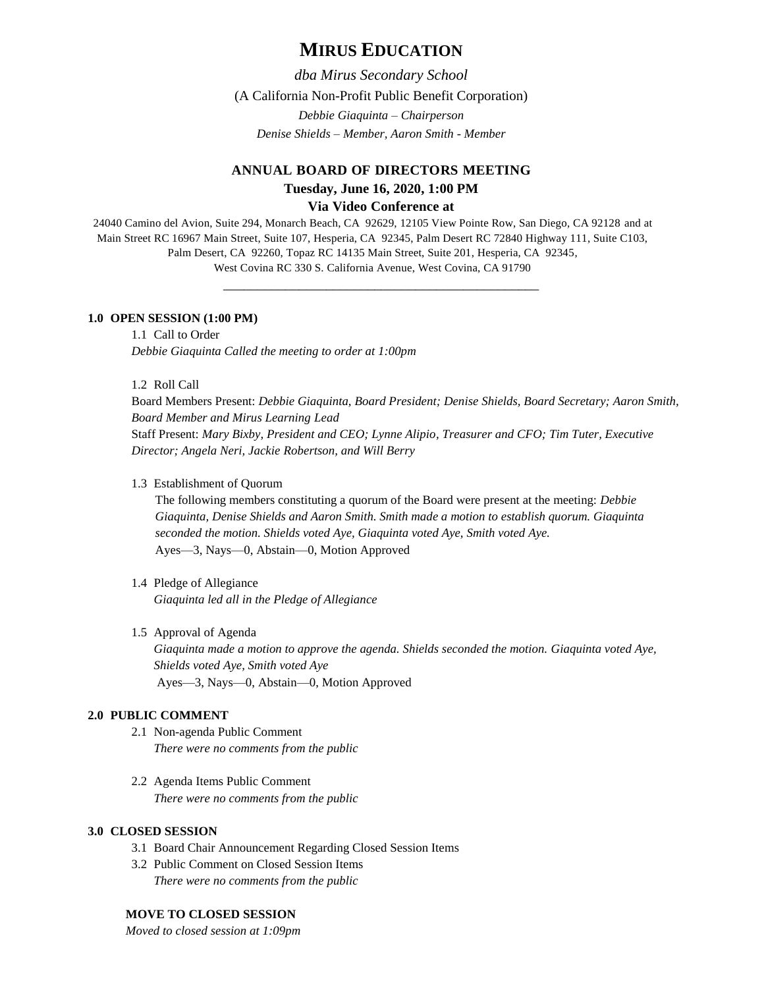# **MIRUS EDUCATION**

*dba Mirus Secondary School*

(A California Non-Profit Public Benefit Corporation)

*Debbie Giaquinta – Chairperson Denise Shields – Member, Aaron Smith - Member*

# **ANNUAL BOARD OF DIRECTORS MEETING Tuesday, June 16, 2020, 1:00 PM Via Video Conference at**

24040 Camino del Avion, Suite 294, Monarch Beach, CA 92629, 12105 View Pointe Row, San Diego, CA 92128 and at Main Street RC 16967 Main Street, Suite 107, Hesperia, CA 92345, Palm Desert RC 72840 Highway 111, Suite C103, Palm Desert, CA 92260, Topaz RC 14135 Main Street, Suite 201, Hesperia, CA 92345, West Covina RC 330 S. California Avenue, West Covina, CA 91790

\_\_\_\_\_\_\_\_\_\_\_\_\_\_\_\_\_\_\_\_\_\_\_\_\_\_\_\_\_\_\_\_\_\_\_\_\_\_\_\_\_\_\_\_\_\_

## **1.0 OPEN SESSION (1:00 PM)**

1.1 Call to Order *Debbie Giaquinta Called the meeting to order at 1:00pm*

1.2 Roll Call

Board Members Present: *Debbie Giaquinta, Board President; Denise Shields, Board Secretary; Aaron Smith, Board Member and Mirus Learning Lead* Staff Present: *Mary Bixby, President and CEO; Lynne Alipio, Treasurer and CFO; Tim Tuter, Executive Director; Angela Neri, Jackie Robertson, and Will Berry*

#### 1.3 Establishment of Quorum

The following members constituting a quorum of the Board were present at the meeting: *Debbie Giaquinta, Denise Shields and Aaron Smith. Smith made a motion to establish quorum. Giaquinta seconded the motion. Shields voted Aye, Giaquinta voted Aye, Smith voted Aye.* Ayes—3, Nays—0, Abstain—0, Motion Approved

- 1.4 Pledge of Allegiance *Giaquinta led all in the Pledge of Allegiance*
- 1.5 Approval of Agenda *Giaquinta made a motion to approve the agenda. Shields seconded the motion. Giaquinta voted Aye, Shields voted Aye, Smith voted Aye* Ayes—3, Nays—0, Abstain—0, Motion Approved

# **2.0 PUBLIC COMMENT**

- 2.1 Non-agenda Public Comment *There were no comments from the public*
- 2.2 Agenda Items Public Comment *There were no comments from the public*

# **3.0 CLOSED SESSION**

- 3.1 Board Chair Announcement Regarding Closed Session Items
- 3.2 Public Comment on Closed Session Items *There were no comments from the public*

# **MOVE TO CLOSED SESSION**

*Moved to closed session at 1:09pm*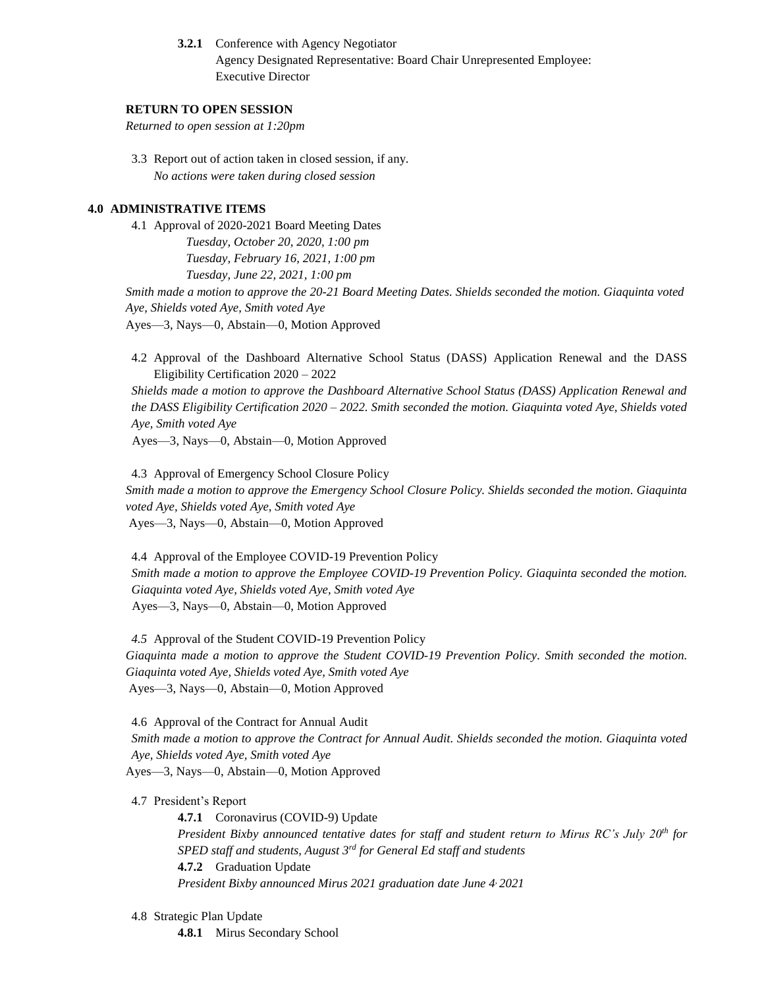**3.2.1** Conference with Agency Negotiator Agency Designated Representative: Board Chair Unrepresented Employee: Executive Director

## **RETURN TO OPEN SESSION**

*Returned to open session at 1:20pm*

3.3 Report out of action taken in closed session, if any. *No actions were taken during closed session*

# **4.0 ADMINISTRATIVE ITEMS**

4.1 Approval of 2020-2021 Board Meeting Dates *Tuesday, October 20, 2020, 1:00 pm Tuesday, February 16, 2021, 1:00 pm Tuesday, June 22, 2021, 1:00 pm Smith made a motion to approve the 20-21 Board Meeting Dates. Shields seconded the motion. Giaquinta voted Aye, Shields voted Aye, Smith voted Aye*

Ayes—3, Nays—0, Abstain—0, Motion Approved

4.2 Approval of the Dashboard Alternative School Status (DASS) Application Renewal and the DASS Eligibility Certification 2020 – 2022

*Shields made a motion to approve the Dashboard Alternative School Status (DASS) Application Renewal and the DASS Eligibility Certification 2020 – 2022. Smith seconded the motion. Giaquinta voted Aye, Shields voted Aye, Smith voted Aye*

Ayes—3, Nays—0, Abstain—0, Motion Approved

4.3 Approval of Emergency School Closure Policy *Smith made a motion to approve the Emergency School Closure Policy. Shields seconded the motion. Giaquinta voted Aye, Shields voted Aye, Smith voted Aye* Ayes—3, Nays—0, Abstain—0, Motion Approved

4.4 Approval of the Employee COVID-19 Prevention Policy *Smith made a motion to approve the Employee COVID-19 Prevention Policy. Giaquinta seconded the motion. Giaquinta voted Aye, Shields voted Aye, Smith voted Aye* Ayes—3, Nays—0, Abstain—0, Motion Approved

*4.5* Approval of the Student COVID-19 Prevention Policy *Giaquinta made a motion to approve the Student COVID-19 Prevention Policy. Smith seconded the motion. Giaquinta voted Aye, Shields voted Aye, Smith voted Aye* Ayes—3, Nays—0, Abstain—0, Motion Approved

4.6 Approval of the Contract for Annual Audit *Smith made a motion to approve the Contract for Annual Audit. Shields seconded the motion. Giaquinta voted Aye, Shields voted Aye, Smith voted Aye* Ayes—3, Nays—0, Abstain—0, Motion Approved

4.7 President's Report

**4.7.1** Coronavirus (COVID-9) Update *President Bixby announced tentative dates for staff and student return to Mirus RC's July 20th for SPED staff and students, August 3rd for General Ed staff and students* **4.7.2** Graduation Update *President Bixby announced Mirus 2021 graduation date June 4, 2021*

#### 4.8 Strategic Plan Update

**4.8.1** Mirus Secondary School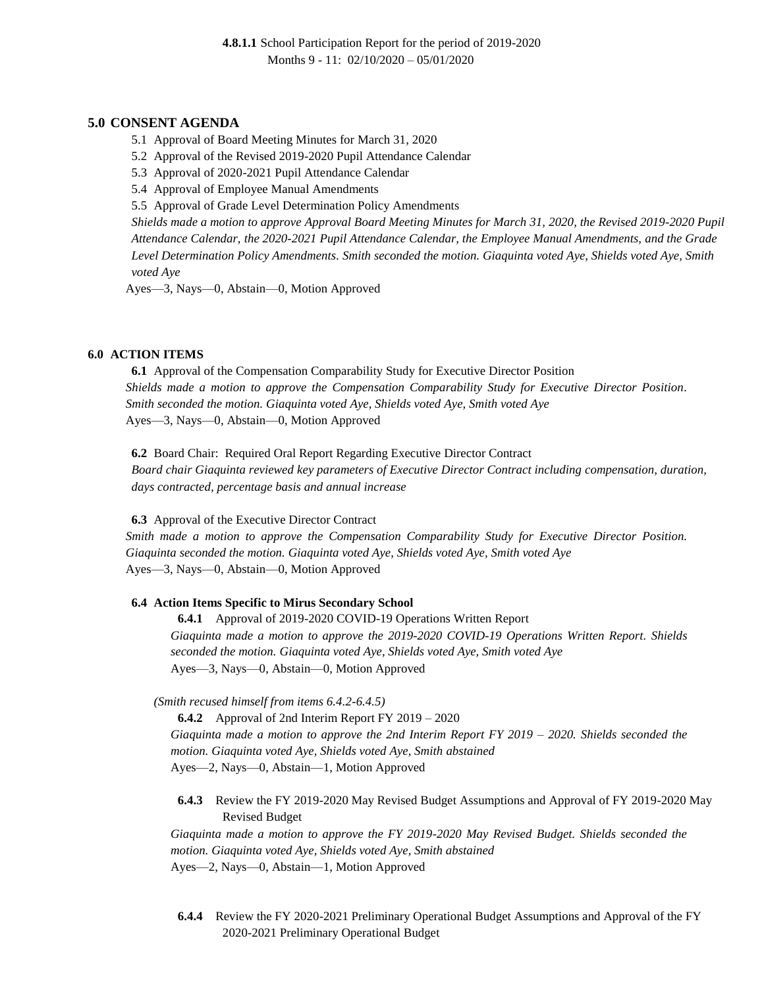# **5.0 CONSENT AGENDA**

- 5.1 Approval of Board Meeting Minutes for March 31, 2020
- 5.2 Approval of the Revised 2019-2020 Pupil Attendance Calendar
- 5.3 Approval of 2020-2021 Pupil Attendance Calendar
- 5.4 Approval of Employee Manual Amendments
- 5.5 Approval of Grade Level Determination Policy Amendments

*Shields made a motion to approve Approval Board Meeting Minutes for March 31, 2020, the Revised 2019-2020 Pupil Attendance Calendar, the 2020-2021 Pupil Attendance Calendar, the Employee Manual Amendments, and the Grade Level Determination Policy Amendments. Smith seconded the motion. Giaquinta voted Aye, Shields voted Aye, Smith voted Aye*

Ayes—3, Nays—0, Abstain—0, Motion Approved

### **6.0 ACTION ITEMS**

**6.1** Approval of the Compensation Comparability Study for Executive Director Position *Shields made a motion to approve the Compensation Comparability Study for Executive Director Position. Smith seconded the motion. Giaquinta voted Aye, Shields voted Aye, Smith voted Aye* Ayes—3, Nays—0, Abstain—0, Motion Approved

**6.2** Board Chair: Required Oral Report Regarding Executive Director Contract *Board chair Giaquinta reviewed key parameters of Executive Director Contract including compensation, duration, days contracted, percentage basis and annual increase*

#### **6.3** Approval of the Executive Director Contract

*Smith made a motion to approve the Compensation Comparability Study for Executive Director Position. Giaquinta seconded the motion. Giaquinta voted Aye, Shields voted Aye, Smith voted Aye* Ayes—3, Nays—0, Abstain—0, Motion Approved

#### **6.4 Action Items Specific to Mirus Secondary School**

**6.4.1** Approval of 2019-2020 COVID-19 Operations Written Report *Giaquinta made a motion to approve the 2019-2020 COVID-19 Operations Written Report. Shields seconded the motion. Giaquinta voted Aye, Shields voted Aye, Smith voted Aye* Ayes—3, Nays—0, Abstain—0, Motion Approved

*(Smith recused himself from items 6.4.2-6.4.5)*

**6.4.2** Approval of 2nd Interim Report FY 2019 – 2020 *Giaquinta made a motion to approve the 2nd Interim Report FY 2019 – 2020. Shields seconded the motion. Giaquinta voted Aye, Shields voted Aye, Smith abstained* Ayes—2, Nays—0, Abstain—1, Motion Approved

**6.4.3** Review the FY 2019-2020 May Revised Budget Assumptions and Approval of FY 2019-2020 May Revised Budget

*Giaquinta made a motion to approve the FY 2019-2020 May Revised Budget. Shields seconded the motion. Giaquinta voted Aye, Shields voted Aye, Smith abstained* Ayes—2, Nays—0, Abstain—1, Motion Approved

**6.4.4** Review the FY 2020-2021 Preliminary Operational Budget Assumptions and Approval of the FY 2020-2021 Preliminary Operational Budget